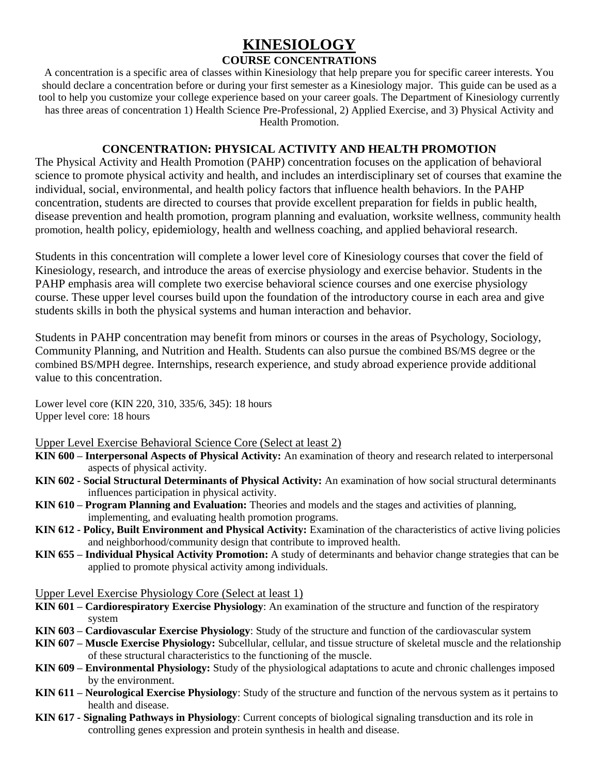# **KINESIOLOGY**

## **COURSE CONCENTRATIONS**

A concentration is a specific area of classes within Kinesiology that help prepare you for specific career interests. You should declare a concentration before or during your first semester as a Kinesiology major. This guide can be used as a tool to help you customize your college experience based on your career goals. The Department of Kinesiology currently has three areas of concentration 1) Health Science Pre-Professional, 2) Applied Exercise, and 3) Physical Activity and Health Promotion.

## **CONCENTRATION: PHYSICAL ACTIVITY AND HEALTH PROMOTION**

The Physical Activity and Health Promotion (PAHP) concentration focuses on the application of behavioral science to promote physical activity and health, and includes an interdisciplinary set of courses that examine the individual, social, environmental, and health policy factors that influence health behaviors. In the PAHP concentration, students are directed to courses that provide excellent preparation for fields in public health, disease prevention and health promotion, program planning and evaluation, worksite wellness, community health promotion, health policy, epidemiology, health and wellness coaching, and applied behavioral research.

Students in this concentration will complete a lower level core of Kinesiology courses that cover the field of Kinesiology, research, and introduce the areas of exercise physiology and exercise behavior. Students in the PAHP emphasis area will complete two exercise behavioral science courses and one exercise physiology course. These upper level courses build upon the foundation of the introductory course in each area and give students skills in both the physical systems and human interaction and behavior.

Students in PAHP concentration may benefit from minors or courses in the areas of Psychology, Sociology, Community Planning, and Nutrition and Health. Students can also pursue the combined BS/MS degree or the combined BS/MPH degree. Internships, research experience, and study abroad experience provide additional value to this concentration.

Lower level core (KIN 220, 310, 335/6, 345): 18 hours Upper level core: 18 hours

Upper Level Exercise Behavioral Science Core (Select at least 2)

- **KIN 600 – Interpersonal Aspects of Physical Activity:** An examination of theory and research related to interpersonal aspects of physical activity.
- **KIN 602 - Social Structural Determinants of Physical Activity:** An examination of how social structural determinants influences participation in physical activity.
- **KIN 610 – Program Planning and Evaluation:** Theories and models and the stages and activities of planning, implementing, and evaluating health promotion programs.
- **KIN 612 - Policy, Built Environment and Physical Activity:** Examination of the characteristics of active living policies and neighborhood/community design that contribute to improved health.
- **KIN 655 – Individual Physical Activity Promotion:** A study of determinants and behavior change strategies that can be applied to promote physical activity among individuals.

#### Upper Level Exercise Physiology Core (Select at least 1)

- **KIN 601 – Cardiorespiratory Exercise Physiology**: An examination of the structure and function of the respiratory system
- **KIN 603 – Cardiovascular Exercise Physiology**: Study of the structure and function of the cardiovascular system
- **KIN 607 – Muscle Exercise Physiology:** Subcellular, cellular, and tissue structure of skeletal muscle and the relationship of these structural characteristics to the functioning of the muscle.
- **KIN 609 – Environmental Physiology:** Study of the physiological adaptations to acute and chronic challenges imposed by the environment.
- **KIN 611 – Neurological Exercise Physiology**: Study of the structure and function of the nervous system as it pertains to health and disease.
- **KIN 617 - Signaling Pathways in Physiology**: Current concepts of biological signaling transduction and its role in controlling genes expression and protein synthesis in health and disease.